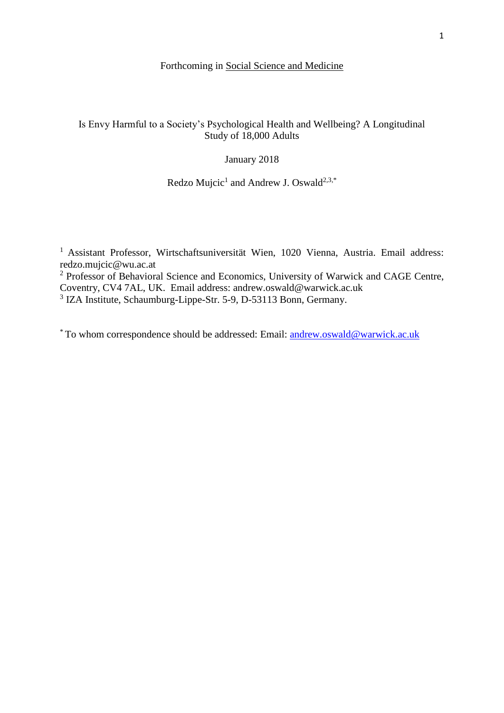# Forthcoming in Social Science and Medicine

# Is Envy Harmful to a Society's Psychological Health and Wellbeing? A Longitudinal Study of 18,000 Adults

## January 2018

## Redzo Mujcic<sup>1</sup> and Andrew J. Oswald<sup>2,3,\*</sup>

<sup>1</sup> Assistant Professor, Wirtschaftsuniversität Wien, 1020 Vienna, Austria. Email address: redzo.mujcic@wu.ac.at

<sup>2</sup> Professor of Behavioral Science and Economics, University of Warwick and CAGE Centre, Coventry, CV4 7AL, UK. Email address: andrew.oswald@warwick.ac.uk

<sup>3</sup> IZA Institute, Schaumburg-Lippe-Str. 5-9, D-53113 Bonn, Germany.

\* To whom correspondence should be addressed: Email: [andrew.oswald@warwick.ac.uk](mailto:andrew.oswald@warwick.ac.uk)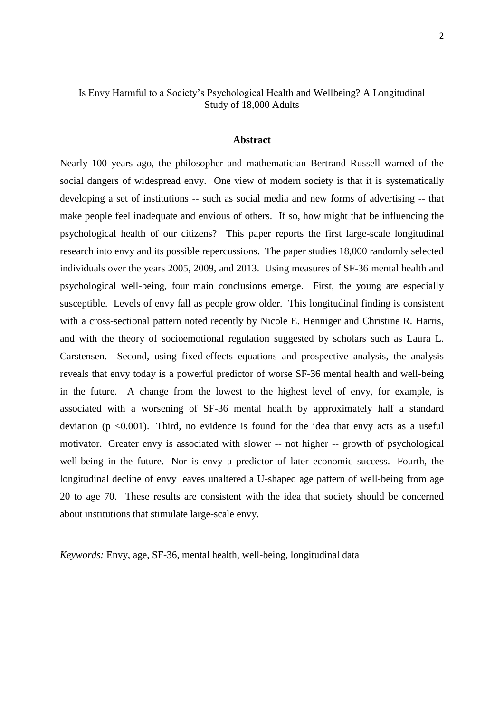## Is Envy Harmful to a Society's Psychological Health and Wellbeing? A Longitudinal Study of 18,000 Adults

#### **Abstract**

Nearly 100 years ago, the philosopher and mathematician Bertrand Russell warned of the social dangers of widespread envy. One view of modern society is that it is systematically developing a set of institutions -- such as social media and new forms of advertising -- that make people feel inadequate and envious of others. If so, how might that be influencing the psychological health of our citizens? This paper reports the first large-scale longitudinal research into envy and its possible repercussions. The paper studies 18,000 randomly selected individuals over the years 2005, 2009, and 2013. Using measures of SF-36 mental health and psychological well-being, four main conclusions emerge. First, the young are especially susceptible. Levels of envy fall as people grow older. This longitudinal finding is consistent with a cross-sectional pattern noted recently by Nicole E. Henniger and Christine R. Harris, and with the theory of socioemotional regulation suggested by scholars such as Laura L. Carstensen. Second, using fixed-effects equations and prospective analysis, the analysis reveals that envy today is a powerful predictor of worse SF-36 mental health and well-being in the future. A change from the lowest to the highest level of envy, for example, is associated with a worsening of SF-36 mental health by approximately half a standard deviation ( $p \le 0.001$ ). Third, no evidence is found for the idea that envy acts as a useful motivator. Greater envy is associated with slower -- not higher -- growth of psychological well-being in the future. Nor is envy a predictor of later economic success. Fourth, the longitudinal decline of envy leaves unaltered a U-shaped age pattern of well-being from age 20 to age 70. These results are consistent with the idea that society should be concerned about institutions that stimulate large-scale envy.

*Keywords:* Envy, age, SF-36, mental health, well-being, longitudinal data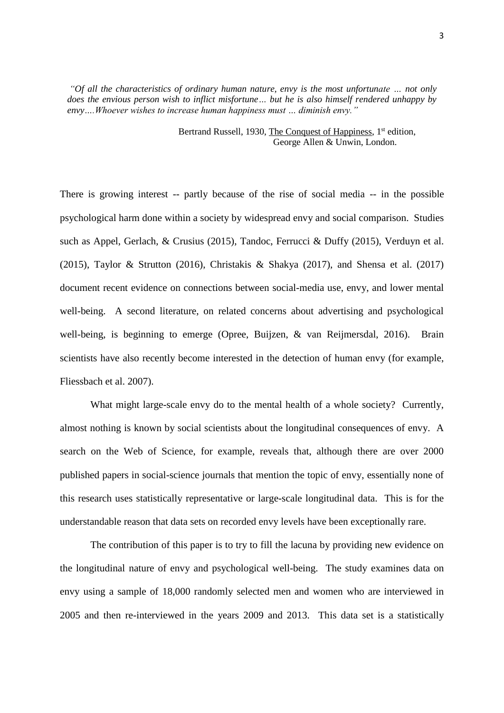*"Of all the characteristics of ordinary human nature, envy is the most unfortunate … not only does the envious person wish to inflict misfortune… but he is also himself rendered unhappy by envy….Whoever wishes to increase human happiness must … diminish envy."* 

> Bertrand Russell, 1930, The Conquest of Happiness, 1<sup>st</sup> edition, George Allen & Unwin, London.

There is growing interest -- partly because of the rise of social media -- in the possible psychological harm done within a society by widespread envy and social comparison. Studies such as Appel, Gerlach, & Crusius (2015), Tandoc, Ferrucci & Duffy (2015), Verduyn et al. (2015), Taylor & Strutton (2016), Christakis & Shakya (2017), and Shensa et al. (2017) document recent evidence on connections between social-media use, envy, and lower mental well-being. A second literature, on related concerns about advertising and psychological well-being, is beginning to emerge (Opree, Buijzen, & van Reijmersdal, 2016). Brain scientists have also recently become interested in the detection of human envy (for example, Fliessbach et al. 2007).

What might large-scale envy do to the mental health of a whole society? Currently, almost nothing is known by social scientists about the longitudinal consequences of envy. A search on the Web of Science, for example, reveals that, although there are over 2000 published papers in social-science journals that mention the topic of envy, essentially none of this research uses statistically representative or large-scale longitudinal data. This is for the understandable reason that data sets on recorded envy levels have been exceptionally rare.

The contribution of this paper is to try to fill the lacuna by providing new evidence on the longitudinal nature of envy and psychological well-being. The study examines data on envy using a sample of 18,000 randomly selected men and women who are interviewed in 2005 and then re-interviewed in the years 2009 and 2013. This data set is a statistically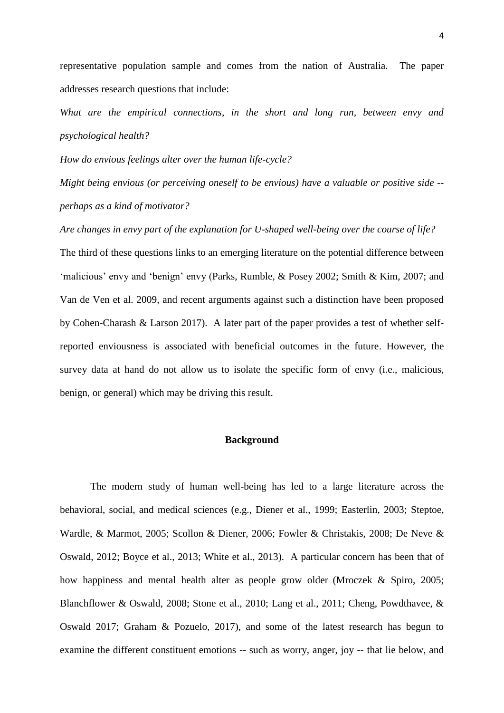representative population sample and comes from the nation of Australia. The paper addresses research questions that include:

*What are the empirical connections, in the short and long run, between envy and psychological health?*

*How do envious feelings alter over the human life-cycle?* 

*Might being envious (or perceiving oneself to be envious) have a valuable or positive side - perhaps as a kind of motivator?*

*Are changes in envy part of the explanation for U-shaped well-being over the course of life?*  The third of these questions links to an emerging literature on the potential difference between 'malicious' envy and 'benign' envy (Parks, Rumble, & Posey 2002; Smith & Kim, 2007; and Van de Ven et al. 2009, and recent arguments against such a distinction have been proposed by Cohen-Charash & Larson 2017). A later part of the paper provides a test of whether selfreported enviousness is associated with beneficial outcomes in the future. However, the survey data at hand do not allow us to isolate the specific form of envy (i.e., malicious, benign, or general) which may be driving this result.

### **Background**

The modern study of human well-being has led to a large literature across the behavioral, social, and medical sciences (e.g., Diener et al., 1999; Easterlin, 2003; Steptoe, Wardle, & Marmot, 2005; Scollon & Diener, 2006; Fowler & Christakis, 2008; De Neve & Oswald, 2012; Boyce et al., 2013; White et al., 2013). A particular concern has been that of how happiness and mental health alter as people grow older (Mroczek & Spiro, 2005; Blanchflower & Oswald, 2008; Stone et al., 2010; Lang et al., 2011; Cheng, Powdthavee, & Oswald 2017; Graham & Pozuelo, 2017), and some of the latest research has begun to examine the different constituent emotions -- such as worry, anger, joy -- that lie below, and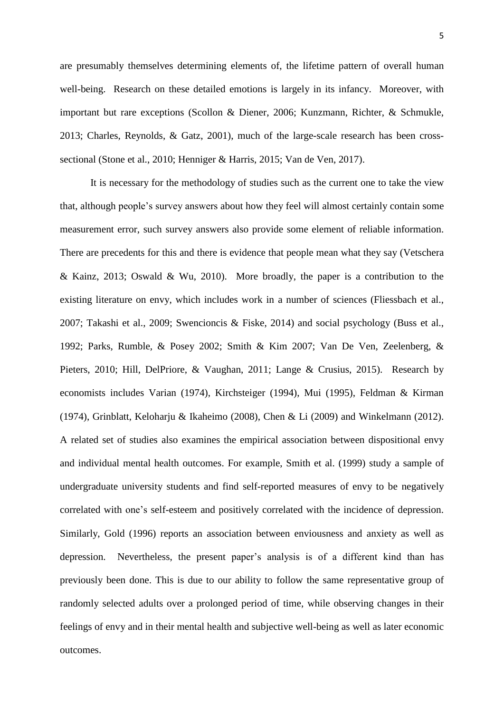are presumably themselves determining elements of, the lifetime pattern of overall human well-being. Research on these detailed emotions is largely in its infancy. Moreover, with important but rare exceptions (Scollon & Diener, 2006; Kunzmann, Richter, & Schmukle, 2013; Charles, Reynolds, & Gatz, 2001), much of the large-scale research has been crosssectional (Stone et al., 2010; Henniger & Harris, 2015; Van de Ven, 2017).

It is necessary for the methodology of studies such as the current one to take the view that, although people's survey answers about how they feel will almost certainly contain some measurement error, such survey answers also provide some element of reliable information. There are precedents for this and there is evidence that people mean what they say (Vetschera & Kainz, 2013; Oswald & Wu, 2010). More broadly, the paper is a contribution to the existing literature on envy, which includes work in a number of sciences (Fliessbach et al., 2007; Takashi et al., 2009; Swencioncis & Fiske, 2014) and social psychology (Buss et al., 1992; Parks, Rumble, & Posey 2002; Smith & Kim 2007; Van De Ven, Zeelenberg, & Pieters, 2010; Hill, DelPriore, & Vaughan, 2011; Lange & Crusius, 2015). Research by economists includes Varian (1974), Kirchsteiger (1994), Mui (1995), Feldman & Kirman (1974), Grinblatt, Keloharju & Ikaheimo (2008), Chen & Li (2009) and Winkelmann (2012). A related set of studies also examines the empirical association between dispositional envy and individual mental health outcomes. For example, Smith et al. (1999) study a sample of undergraduate university students and find self-reported measures of envy to be negatively correlated with one's self-esteem and positively correlated with the incidence of depression. Similarly, Gold (1996) reports an association between enviousness and anxiety as well as depression. Nevertheless, the present paper's analysis is of a different kind than has previously been done. This is due to our ability to follow the same representative group of randomly selected adults over a prolonged period of time, while observing changes in their feelings of envy and in their mental health and subjective well-being as well as later economic outcomes.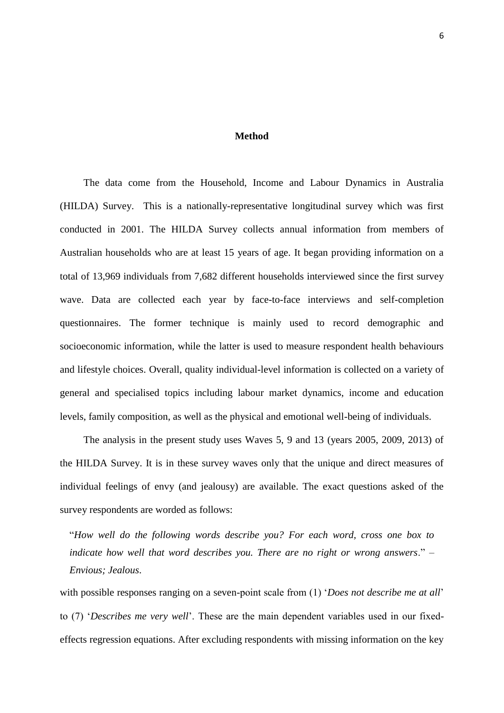### **Method**

The data come from the Household, Income and Labour Dynamics in Australia (HILDA) Survey. This is a nationally-representative longitudinal survey which was first conducted in 2001. The HILDA Survey collects annual information from members of Australian households who are at least 15 years of age. It began providing information on a total of 13,969 individuals from 7,682 different households interviewed since the first survey wave. Data are collected each year by face-to-face interviews and self-completion questionnaires. The former technique is mainly used to record demographic and socioeconomic information, while the latter is used to measure respondent health behaviours and lifestyle choices. Overall, quality individual-level information is collected on a variety of general and specialised topics including labour market dynamics, income and education levels, family composition, as well as the physical and emotional well-being of individuals.

The analysis in the present study uses Waves 5, 9 and 13 (years 2005, 2009, 2013) of the HILDA Survey. It is in these survey waves only that the unique and direct measures of individual feelings of envy (and jealousy) are available. The exact questions asked of the survey respondents are worded as follows:

"*How well do the following words describe you? For each word, cross one box to indicate how well that word describes you. There are no right or wrong answers*." – *Envious; Jealous*.

with possible responses ranging on a seven-point scale from (1) '*Does not describe me at all*' to (7) '*Describes me very well*'. These are the main dependent variables used in our fixedeffects regression equations. After excluding respondents with missing information on the key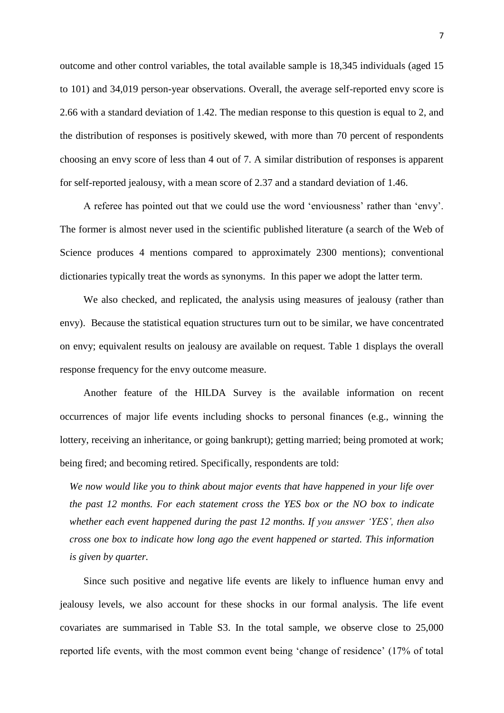outcome and other control variables, the total available sample is 18,345 individuals (aged 15 to 101) and 34,019 person-year observations. Overall, the average self-reported envy score is 2.66 with a standard deviation of 1.42. The median response to this question is equal to 2, and the distribution of responses is positively skewed, with more than 70 percent of respondents choosing an envy score of less than 4 out of 7. A similar distribution of responses is apparent for self-reported jealousy, with a mean score of 2.37 and a standard deviation of 1.46.

A referee has pointed out that we could use the word 'enviousness' rather than 'envy'. The former is almost never used in the scientific published literature (a search of the Web of Science produces 4 mentions compared to approximately 2300 mentions); conventional dictionaries typically treat the words as synonyms. In this paper we adopt the latter term.

We also checked, and replicated, the analysis using measures of jealousy (rather than envy). Because the statistical equation structures turn out to be similar, we have concentrated on envy; equivalent results on jealousy are available on request. Table 1 displays the overall response frequency for the envy outcome measure.

Another feature of the HILDA Survey is the available information on recent occurrences of major life events including shocks to personal finances (e.g., winning the lottery, receiving an inheritance, or going bankrupt); getting married; being promoted at work; being fired; and becoming retired. Specifically, respondents are told:

*We now would like you to think about major events that have happened in your life over the past 12 months. For each statement cross the YES box or the NO box to indicate whether each event happened during the past 12 months. If you answer 'YES', then also cross one box to indicate how long ago the event happened or started. This information is given by quarter.*

Since such positive and negative life events are likely to influence human envy and jealousy levels, we also account for these shocks in our formal analysis. The life event covariates are summarised in Table S3. In the total sample, we observe close to 25,000 reported life events, with the most common event being 'change of residence' (17% of total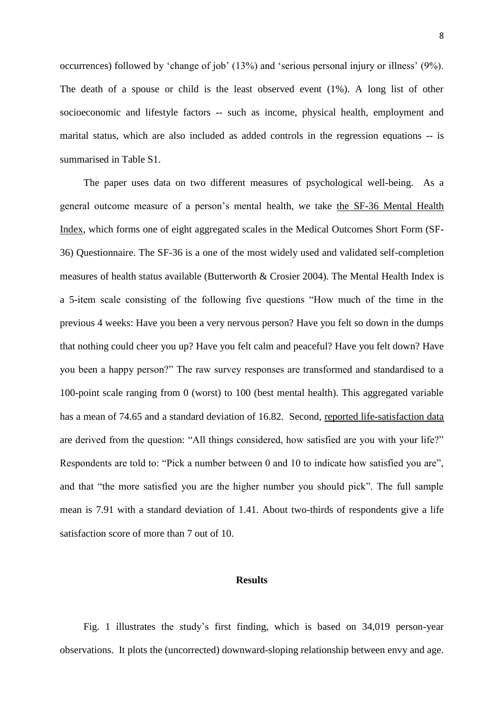occurrences) followed by 'change of job' (13%) and 'serious personal injury or illness' (9%). The death of a spouse or child is the least observed event (1%). A long list of other socioeconomic and lifestyle factors -- such as income, physical health, employment and marital status, which are also included as added controls in the regression equations -- is summarised in Table S1.

The paper uses data on two different measures of psychological well-being. As a general outcome measure of a person's mental health, we take the SF-36 Mental Health Index, which forms one of eight aggregated scales in the Medical Outcomes Short Form (SF-36) Questionnaire. The SF-36 is a one of the most widely used and validated self-completion measures of health status available (Butterworth & Crosier 2004). The Mental Health Index is a 5-item scale consisting of the following five questions "How much of the time in the previous 4 weeks: Have you been a very nervous person? Have you felt so down in the dumps that nothing could cheer you up? Have you felt calm and peaceful? Have you felt down? Have you been a happy person?" The raw survey responses are transformed and standardised to a 100-point scale ranging from 0 (worst) to 100 (best mental health). This aggregated variable has a mean of 74.65 and a standard deviation of 16.82. Second, reported life-satisfaction data are derived from the question: "All things considered, how satisfied are you with your life?" Respondents are told to: "Pick a number between 0 and 10 to indicate how satisfied you are", and that "the more satisfied you are the higher number you should pick". The full sample mean is 7.91 with a standard deviation of 1.41. About two-thirds of respondents give a life satisfaction score of more than 7 out of 10.

#### **Results**

Fig. 1 illustrates the study's first finding, which is based on 34,019 person-year observations. It plots the (uncorrected) downward-sloping relationship between envy and age.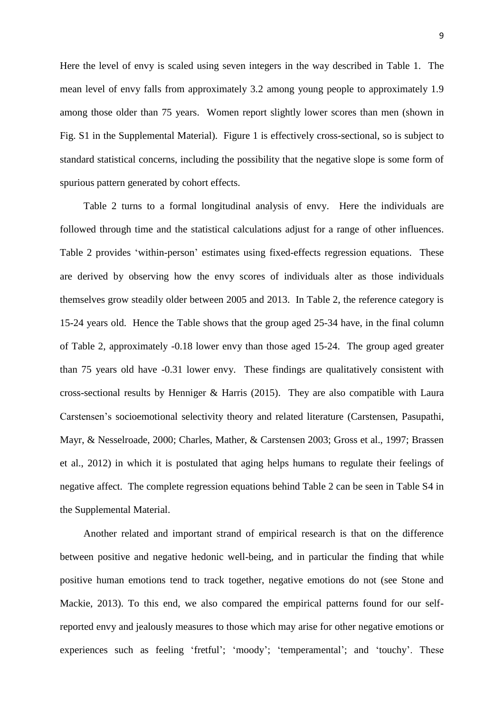Here the level of envy is scaled using seven integers in the way described in Table 1. The mean level of envy falls from approximately 3.2 among young people to approximately 1.9 among those older than 75 years. Women report slightly lower scores than men (shown in Fig. S1 in the Supplemental Material). Figure 1 is effectively cross-sectional, so is subject to standard statistical concerns, including the possibility that the negative slope is some form of spurious pattern generated by cohort effects.

Table 2 turns to a formal longitudinal analysis of envy. Here the individuals are followed through time and the statistical calculations adjust for a range of other influences. Table 2 provides 'within-person' estimates using fixed-effects regression equations. These are derived by observing how the envy scores of individuals alter as those individuals themselves grow steadily older between 2005 and 2013. In Table 2, the reference category is 15-24 years old. Hence the Table shows that the group aged 25-34 have, in the final column of Table 2, approximately -0.18 lower envy than those aged 15-24. The group aged greater than 75 years old have -0.31 lower envy. These findings are qualitatively consistent with cross-sectional results by Henniger & Harris (2015). They are also compatible with Laura Carstensen's socioemotional selectivity theory and related literature (Carstensen, Pasupathi, Mayr, & Nesselroade, 2000; Charles, Mather, & Carstensen 2003; Gross et al., 1997; Brassen et al., 2012) in which it is postulated that aging helps humans to regulate their feelings of negative affect. The complete regression equations behind Table 2 can be seen in Table S4 in the Supplemental Material.

Another related and important strand of empirical research is that on the difference between positive and negative hedonic well-being, and in particular the finding that while positive human emotions tend to track together, negative emotions do not (see Stone and Mackie, 2013). To this end, we also compared the empirical patterns found for our selfreported envy and jealously measures to those which may arise for other negative emotions or experiences such as feeling 'fretful'; 'moody'; 'temperamental'; and 'touchy'. These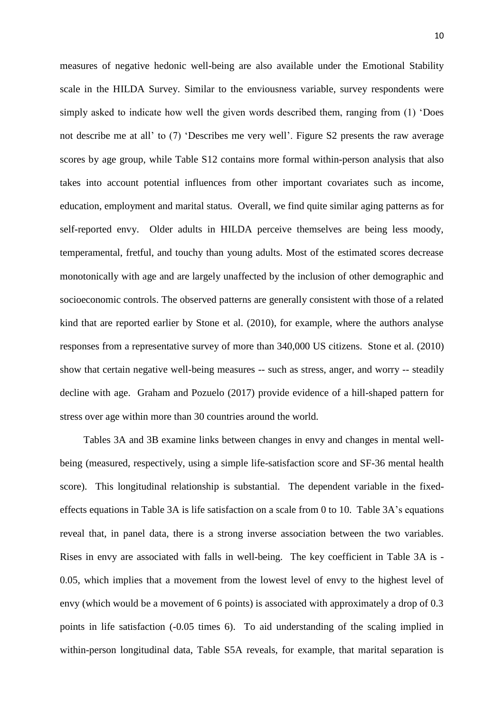measures of negative hedonic well-being are also available under the Emotional Stability scale in the HILDA Survey. Similar to the enviousness variable, survey respondents were simply asked to indicate how well the given words described them, ranging from (1) 'Does not describe me at all' to (7) 'Describes me very well'. Figure S2 presents the raw average scores by age group, while Table S12 contains more formal within-person analysis that also takes into account potential influences from other important covariates such as income, education, employment and marital status. Overall, we find quite similar aging patterns as for self-reported envy. Older adults in HILDA perceive themselves are being less moody, temperamental, fretful, and touchy than young adults. Most of the estimated scores decrease monotonically with age and are largely unaffected by the inclusion of other demographic and socioeconomic controls. The observed patterns are generally consistent with those of a related kind that are reported earlier by Stone et al. (2010), for example, where the authors analyse responses from a representative survey of more than 340,000 US citizens. Stone et al. (2010) show that certain negative well-being measures -- such as stress, anger, and worry -- steadily decline with age. Graham and Pozuelo (2017) provide evidence of a hill-shaped pattern for stress over age within more than 30 countries around the world.

Tables 3A and 3B examine links between changes in envy and changes in mental wellbeing (measured, respectively, using a simple life-satisfaction score and SF-36 mental health score). This longitudinal relationship is substantial. The dependent variable in the fixedeffects equations in Table 3A is life satisfaction on a scale from 0 to 10. Table 3A's equations reveal that, in panel data, there is a strong inverse association between the two variables. Rises in envy are associated with falls in well-being. The key coefficient in Table 3A is - 0.05, which implies that a movement from the lowest level of envy to the highest level of envy (which would be a movement of 6 points) is associated with approximately a drop of 0.3 points in life satisfaction (-0.05 times 6). To aid understanding of the scaling implied in within-person longitudinal data, Table S5A reveals, for example, that marital separation is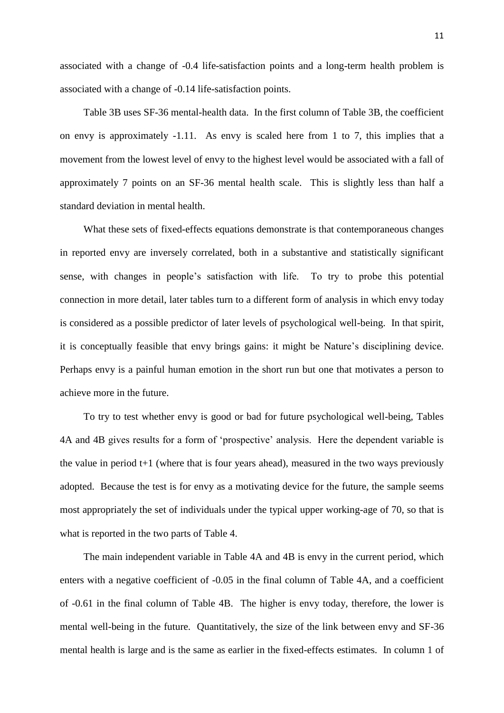associated with a change of -0.4 life-satisfaction points and a long-term health problem is associated with a change of -0.14 life-satisfaction points.

Table 3B uses SF-36 mental-health data. In the first column of Table 3B, the coefficient on envy is approximately -1.11. As envy is scaled here from 1 to 7, this implies that a movement from the lowest level of envy to the highest level would be associated with a fall of approximately 7 points on an SF-36 mental health scale. This is slightly less than half a standard deviation in mental health.

What these sets of fixed-effects equations demonstrate is that contemporaneous changes in reported envy are inversely correlated, both in a substantive and statistically significant sense, with changes in people's satisfaction with life. To try to probe this potential connection in more detail, later tables turn to a different form of analysis in which envy today is considered as a possible predictor of later levels of psychological well-being. In that spirit, it is conceptually feasible that envy brings gains: it might be Nature's disciplining device. Perhaps envy is a painful human emotion in the short run but one that motivates a person to achieve more in the future.

To try to test whether envy is good or bad for future psychological well-being, Tables 4A and 4B gives results for a form of 'prospective' analysis. Here the dependent variable is the value in period  $t+1$  (where that is four years ahead), measured in the two ways previously adopted. Because the test is for envy as a motivating device for the future, the sample seems most appropriately the set of individuals under the typical upper working-age of 70, so that is what is reported in the two parts of Table 4.

The main independent variable in Table 4A and 4B is envy in the current period, which enters with a negative coefficient of -0.05 in the final column of Table 4A, and a coefficient of -0.61 in the final column of Table 4B. The higher is envy today, therefore, the lower is mental well-being in the future. Quantitatively, the size of the link between envy and SF-36 mental health is large and is the same as earlier in the fixed-effects estimates. In column 1 of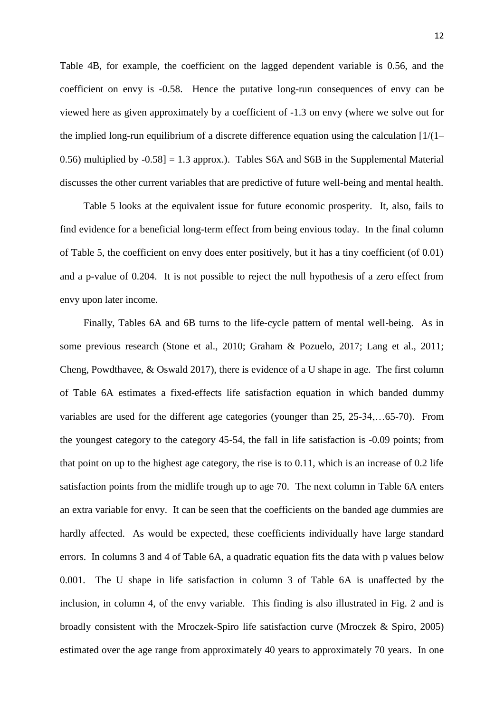Table 4B, for example, the coefficient on the lagged dependent variable is 0.56, and the coefficient on envy is -0.58. Hence the putative long-run consequences of envy can be viewed here as given approximately by a coefficient of -1.3 on envy (where we solve out for the implied long-run equilibrium of a discrete difference equation using the calculation  $[1/(1-$ 0.56) multiplied by -0.58] = 1.3 approx.). Tables S6A and S6B in the Supplemental Material discusses the other current variables that are predictive of future well-being and mental health.

Table 5 looks at the equivalent issue for future economic prosperity. It, also, fails to find evidence for a beneficial long-term effect from being envious today. In the final column of Table 5, the coefficient on envy does enter positively, but it has a tiny coefficient (of 0.01) and a p-value of 0.204. It is not possible to reject the null hypothesis of a zero effect from envy upon later income.

Finally, Tables 6A and 6B turns to the life-cycle pattern of mental well-being. As in some previous research (Stone et al., 2010; Graham & Pozuelo, 2017; Lang et al., 2011; Cheng, Powdthavee, & Oswald 2017), there is evidence of a U shape in age. The first column of Table 6A estimates a fixed-effects life satisfaction equation in which banded dummy variables are used for the different age categories (younger than 25, 25-34,…65-70). From the youngest category to the category 45-54, the fall in life satisfaction is -0.09 points; from that point on up to the highest age category, the rise is to 0.11, which is an increase of 0.2 life satisfaction points from the midlife trough up to age 70. The next column in Table 6A enters an extra variable for envy. It can be seen that the coefficients on the banded age dummies are hardly affected. As would be expected, these coefficients individually have large standard errors. In columns 3 and 4 of Table 6A, a quadratic equation fits the data with p values below 0.001. The U shape in life satisfaction in column 3 of Table 6A is unaffected by the inclusion, in column 4, of the envy variable. This finding is also illustrated in Fig. 2 and is broadly consistent with the Mroczek-Spiro life satisfaction curve (Mroczek & Spiro, 2005) estimated over the age range from approximately 40 years to approximately 70 years. In one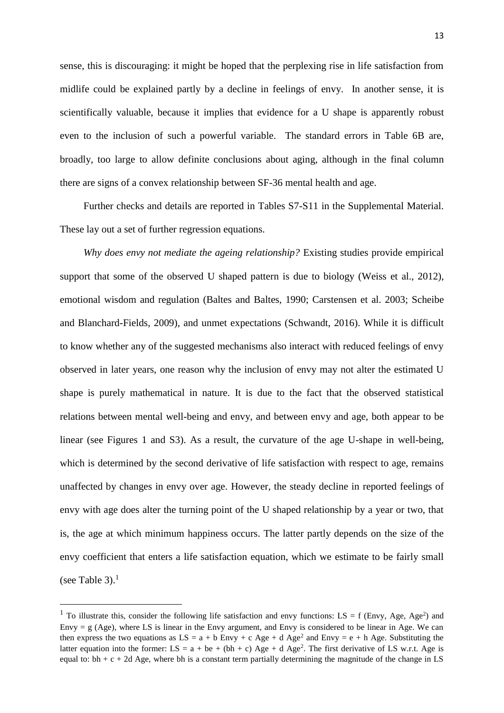sense, this is discouraging: it might be hoped that the perplexing rise in life satisfaction from midlife could be explained partly by a decline in feelings of envy. In another sense, it is scientifically valuable, because it implies that evidence for a U shape is apparently robust even to the inclusion of such a powerful variable. The standard errors in Table 6B are, broadly, too large to allow definite conclusions about aging, although in the final column there are signs of a convex relationship between SF-36 mental health and age.

Further checks and details are reported in Tables S7-S11 in the Supplemental Material. These lay out a set of further regression equations.

*Why does envy not mediate the ageing relationship?* Existing studies provide empirical support that some of the observed U shaped pattern is due to biology (Weiss et al., 2012), emotional wisdom and regulation (Baltes and Baltes, 1990; Carstensen et al. 2003; Scheibe and Blanchard-Fields, 2009), and unmet expectations (Schwandt, 2016). While it is difficult to know whether any of the suggested mechanisms also interact with reduced feelings of envy observed in later years, one reason why the inclusion of envy may not alter the estimated U shape is purely mathematical in nature. It is due to the fact that the observed statistical relations between mental well-being and envy, and between envy and age, both appear to be linear (see Figures 1 and S3). As a result, the curvature of the age U-shape in well-being, which is determined by the second derivative of life satisfaction with respect to age, remains unaffected by changes in envy over age. However, the steady decline in reported feelings of envy with age does alter the turning point of the U shaped relationship by a year or two, that is, the age at which minimum happiness occurs. The latter partly depends on the size of the envy coefficient that enters a life satisfaction equation, which we estimate to be fairly small (see Table 3). $<sup>1</sup>$ </sup>

1

<sup>&</sup>lt;sup>1</sup> To illustrate this, consider the following life satisfaction and envy functions: LS = f (Envy, Age, Age<sup>2</sup>) and Envy  $= g$  (Age), where LS is linear in the Envy argument, and Envy is considered to be linear in Age. We can then express the two equations as  $LS = a + b$  Envy + c Age + d Age<sup>2</sup> and Envy = e + h Age. Substituting the latter equation into the former:  $LS = a + be + (bh + c) Age + d Age^2$ . The first derivative of LS w.r.t. Age is equal to:  $bh + c + 2d$  Age, where bh is a constant term partially determining the magnitude of the change in LS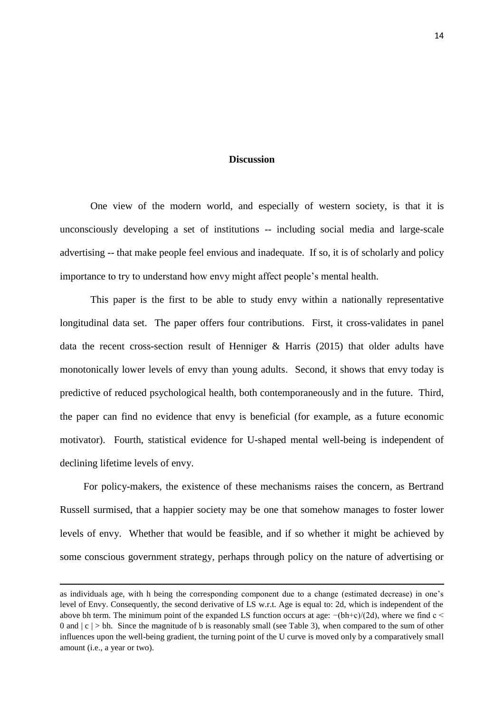### **Discussion**

One view of the modern world, and especially of western society, is that it is unconsciously developing a set of institutions -- including social media and large-scale advertising -- that make people feel envious and inadequate. If so, it is of scholarly and policy importance to try to understand how envy might affect people's mental health.

This paper is the first to be able to study envy within a nationally representative longitudinal data set. The paper offers four contributions. First, it cross-validates in panel data the recent cross-section result of Henniger & Harris (2015) that older adults have monotonically lower levels of envy than young adults. Second, it shows that envy today is predictive of reduced psychological health, both contemporaneously and in the future. Third, the paper can find no evidence that envy is beneficial (for example, as a future economic motivator). Fourth, statistical evidence for U-shaped mental well-being is independent of declining lifetime levels of envy.

For policy-makers, the existence of these mechanisms raises the concern, as Bertrand Russell surmised, that a happier society may be one that somehow manages to foster lower levels of envy. Whether that would be feasible, and if so whether it might be achieved by some conscious government strategy, perhaps through policy on the nature of advertising or

1

as individuals age, with h being the corresponding component due to a change (estimated decrease) in one's level of Envy. Consequently, the second derivative of LS w.r.t. Age is equal to: 2d, which is independent of the above bh term. The minimum point of the expanded LS function occurs at age:  $-(bh+c)/(2d)$ , where we find c < 0 and  $|c| > bh$ . Since the magnitude of b is reasonably small (see Table 3), when compared to the sum of other influences upon the well-being gradient, the turning point of the U curve is moved only by a comparatively small amount (i.e., a year or two).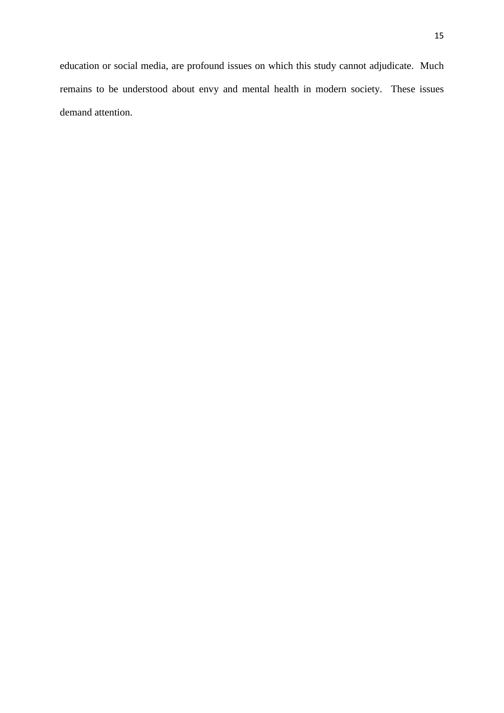education or social media, are profound issues on which this study cannot adjudicate. Much remains to be understood about envy and mental health in modern society. These issues demand attention.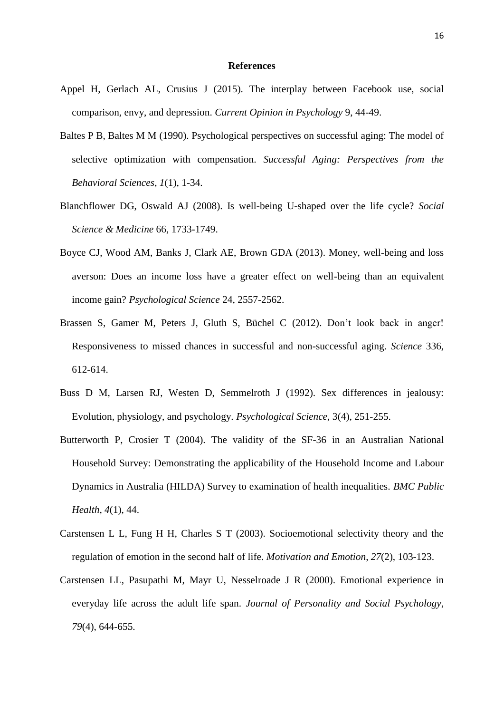#### **References**

- Appel H, Gerlach AL, Crusius J (2015). The interplay between Facebook use, social comparison, envy, and depression. *Current Opinion in Psychology* 9, 44-49.
- Baltes P B, Baltes M M (1990). Psychological perspectives on successful aging: The model of selective optimization with compensation. *Successful Aging: Perspectives from the Behavioral Sciences*, *1*(1), 1-34.
- Blanchflower DG, Oswald AJ (2008). Is well-being U-shaped over the life cycle? *Social Science & Medicine* 66, 1733-1749.
- Boyce CJ, Wood AM, Banks J, Clark AE, Brown GDA (2013). Money, well-being and loss averson: Does an income loss have a greater effect on well-being than an equivalent income gain? *Psychological Science* 24, 2557-2562.
- Brassen S, Gamer M, Peters J, Gluth S, Büchel C (2012). Don't look back in anger! Responsiveness to missed chances in successful and non-successful aging. *Science* 336, 612-614.
- Buss D M, Larsen RJ, Westen D, Semmelroth J (1992). Sex differences in jealousy: Evolution, physiology, and psychology. *Psychological Science*, 3(4), 251-255.
- Butterworth P, Crosier T (2004). The validity of the SF-36 in an Australian National Household Survey: Demonstrating the applicability of the Household Income and Labour Dynamics in Australia (HILDA) Survey to examination of health inequalities. *BMC Public Health*, *4*(1), 44.
- Carstensen L L, Fung H H, Charles S T (2003). Socioemotional selectivity theory and the regulation of emotion in the second half of life. *Motivation and Emotion*, *27*(2), 103-123.
- Carstensen LL, Pasupathi M, Mayr U, Nesselroade J R (2000). Emotional experience in everyday life across the adult life span. *Journal of Personality and Social Psychology*, *79*(4), 644-655.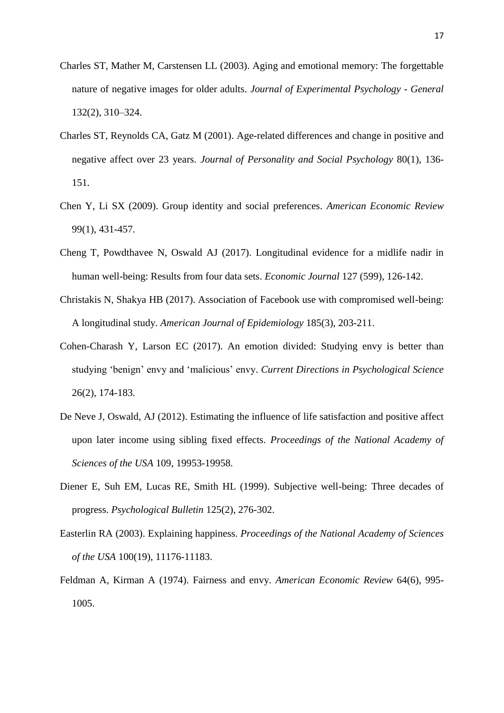- Charles ST, Mather M, Carstensen LL (2003). Aging and emotional memory: The forgettable nature of negative images for older adults. *Journal of Experimental Psychology - General* 132(2), 310–324.
- Charles ST, Reynolds CA, Gatz M (2001). Age-related differences and change in positive and negative affect over 23 years. *Journal of Personality and Social Psychology* 80(1), 136- 151.
- Chen Y, Li SX (2009). Group identity and social preferences. *American Economic Review* 99(1), 431-457.
- Cheng T, Powdthavee N, Oswald AJ (2017). Longitudinal evidence for a midlife nadir in human well-being: Results from four data sets. *Economic Journal* 127 (599), 126-142.
- Christakis N, Shakya HB (2017). Association of Facebook use with compromised well-being: A longitudinal study. *American Journal of Epidemiology* 185(3), 203-211.
- Cohen-Charash Y, Larson EC (2017). An emotion divided: Studying envy is better than studying 'benign' envy and 'malicious' envy. *Current Directions in Psychological Science*  26(2), 174-183.
- De Neve J, Oswald, AJ (2012). Estimating the influence of life satisfaction and positive affect upon later income using sibling fixed effects. *Proceedings of the National Academy of Sciences of the USA* 109, 19953-19958.
- Diener E, Suh EM, Lucas RE, Smith HL (1999). Subjective well-being: Three decades of progress. *Psychological Bulletin* 125(2), 276-302.
- Easterlin RA (2003). Explaining happiness. *Proceedings of the National Academy of Sciences of the USA* 100(19), 11176-11183.
- Feldman A, Kirman A (1974). Fairness and envy. *American Economic Review* 64(6), 995- 1005.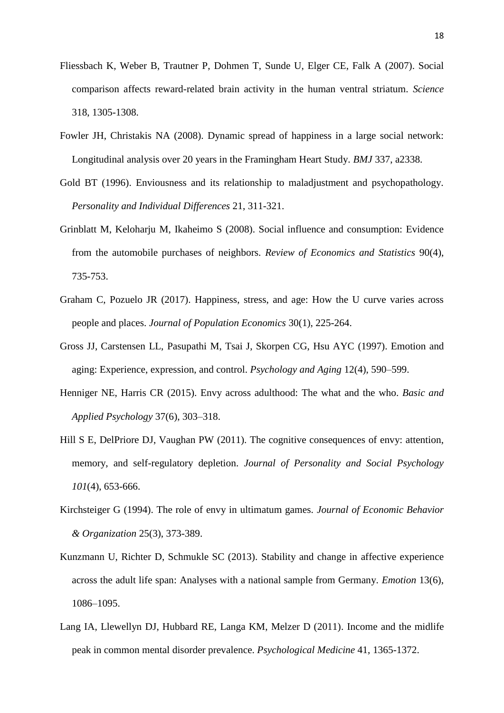- Fliessbach K, Weber B, Trautner P, Dohmen T, Sunde U, Elger CE, Falk A (2007). Social comparison affects reward-related brain activity in the human ventral striatum. *Science* 318, 1305-1308.
- Fowler JH, Christakis NA (2008). Dynamic spread of happiness in a large social network: Longitudinal analysis over 20 years in the Framingham Heart Study. *BMJ* 337, a2338.
- Gold BT (1996). Enviousness and its relationship to maladjustment and psychopathology. *Personality and Individual Differences* 21, 311-321.
- Grinblatt M, Keloharju M, Ikaheimo S (2008). Social influence and consumption: Evidence from the automobile purchases of neighbors. *Review of Economics and Statistics* 90(4), 735-753.
- Graham C, Pozuelo JR (2017). Happiness, stress, and age: How the U curve varies across people and places. *Journal of Population Economics* 30(1), 225-264.
- Gross JJ, Carstensen LL, Pasupathi M, Tsai J, Skorpen CG, Hsu AYC (1997). Emotion and aging: Experience, expression, and control. *Psychology and Aging* 12(4), 590–599.
- Henniger NE, Harris CR (2015). Envy across adulthood: The what and the who. *Basic and Applied Psychology* 37(6), 303–318.
- Hill S E, DelPriore DJ, Vaughan PW (2011). The cognitive consequences of envy: attention, memory, and self-regulatory depletion. *Journal of Personality and Social Psychology 101*(4), 653-666.
- Kirchsteiger G (1994). The role of envy in ultimatum games. *Journal of Economic Behavior & Organization* 25(3), 373-389.
- Kunzmann U, Richter D, Schmukle SC (2013). Stability and change in affective experience across the adult life span: Analyses with a national sample from Germany. *Emotion* 13(6), 1086–1095.
- Lang IA, Llewellyn DJ, Hubbard RE, Langa KM, Melzer D (2011). Income and the midlife peak in common mental disorder prevalence. *Psychological Medicine* 41, 1365-1372.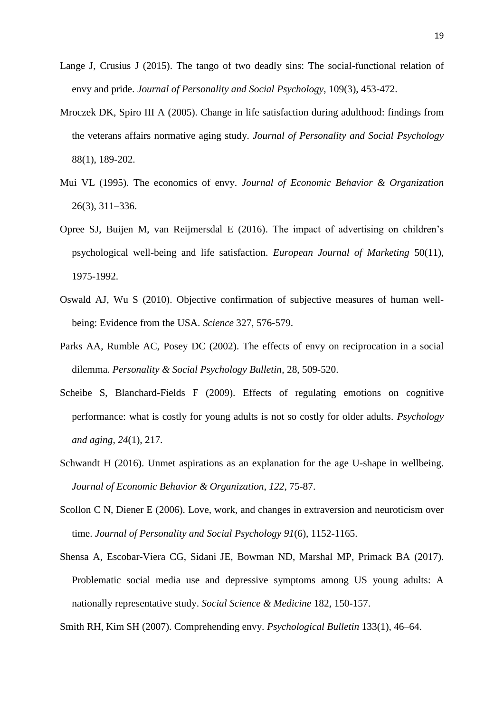- Lange J, Crusius J (2015). The tango of two deadly sins: The social-functional relation of envy and pride. *Journal of Personality and Social Psychology*, 109(3), 453-472.
- Mroczek DK, Spiro III A (2005). Change in life satisfaction during adulthood: findings from the veterans affairs normative aging study. *Journal of Personality and Social Psychology* 88(1), 189-202.
- Mui VL (1995). The economics of envy. *Journal of Economic Behavior & Organization* 26(3), 311–336.
- Opree SJ, Buijen M, van Reijmersdal E (2016). The impact of advertising on children's psychological well-being and life satisfaction. *European Journal of Marketing* 50(11), 1975-1992.
- Oswald AJ, Wu S (2010). Objective confirmation of subjective measures of human wellbeing: Evidence from the USA. *Science* 327, 576-579.
- Parks AA, Rumble AC, Posey DC (2002). The effects of envy on reciprocation in a social dilemma. *Personality & Social Psychology Bulletin*, 28, 509-520.
- Scheibe S, Blanchard-Fields F (2009). Effects of regulating emotions on cognitive performance: what is costly for young adults is not so costly for older adults. *Psychology and aging*, *24*(1), 217.
- Schwandt H (2016). Unmet aspirations as an explanation for the age U-shape in wellbeing. *Journal of Economic Behavior & Organization*, *122*, 75-87.
- Scollon C N, Diener E (2006). Love, work, and changes in extraversion and neuroticism over time. *Journal of Personality and Social Psychology 91*(6), 1152-1165.
- Shensa A, Escobar-Viera CG, Sidani JE, Bowman ND, Marshal MP, Primack BA (2017). Problematic social media use and depressive symptoms among US young adults: A nationally representative study. *Social Science & Medicine* 182, 150-157.

Smith RH, Kim SH (2007). Comprehending envy. *Psychological Bulletin* 133(1), 46–64.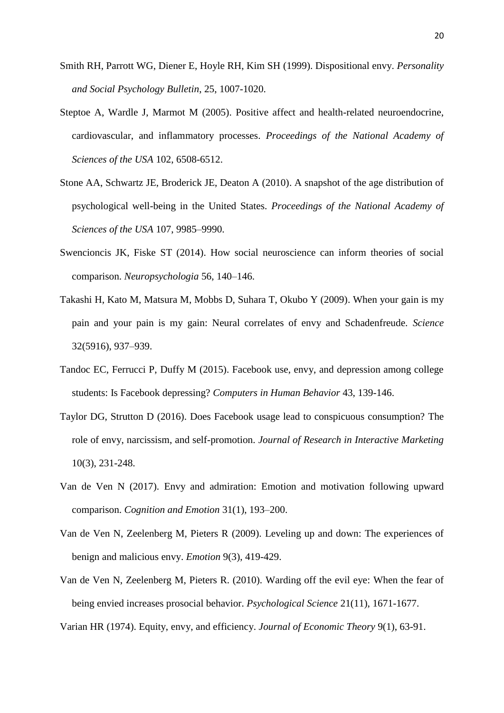- Smith RH, Parrott WG, Diener E, Hoyle RH, Kim SH (1999). Dispositional envy. *Personality and Social Psychology Bulletin*, 25, 1007-1020.
- Steptoe A, Wardle J, Marmot M (2005). Positive affect and health-related neuroendocrine, cardiovascular, and inflammatory processes. *Proceedings of the National Academy of Sciences of the USA* 102, 6508-6512.
- Stone AA, Schwartz JE, Broderick JE, Deaton A (2010). A snapshot of the age distribution of psychological well-being in the United States. *Proceedings of the National Academy of Sciences of the USA* 107, 9985–9990.
- Swencioncis JK, Fiske ST (2014). How social neuroscience can inform theories of social comparison. *Neuropsychologia* 56, 140–146.
- Takashi H, Kato M, Matsura M, Mobbs D, Suhara T, Okubo Y (2009). When your gain is my pain and your pain is my gain: Neural correlates of envy and Schadenfreude. *Science* 32(5916), 937–939.
- Tandoc EC, Ferrucci P, Duffy M (2015). Facebook use, envy, and depression among college students: Is Facebook depressing? *Computers in Human Behavior* 43, 139-146.
- Taylor DG, Strutton D (2016). Does Facebook usage lead to conspicuous consumption? The role of envy, narcissism, and self-promotion. *Journal of Research in Interactive Marketing* 10(3), 231-248.
- Van de Ven N (2017). Envy and admiration: Emotion and motivation following upward comparison. *Cognition and Emotion* 31(1), 193–200.
- Van de Ven N, Zeelenberg M, Pieters R (2009). Leveling up and down: The experiences of benign and malicious envy. *Emotion* 9(3), 419-429.
- Van de Ven N, Zeelenberg M, Pieters R. (2010). Warding off the evil eye: When the fear of being envied increases prosocial behavior. *Psychological Science* 21(11), 1671-1677.

Varian HR (1974). Equity, envy, and efficiency. *Journal of Economic Theory* 9(1), 63-91.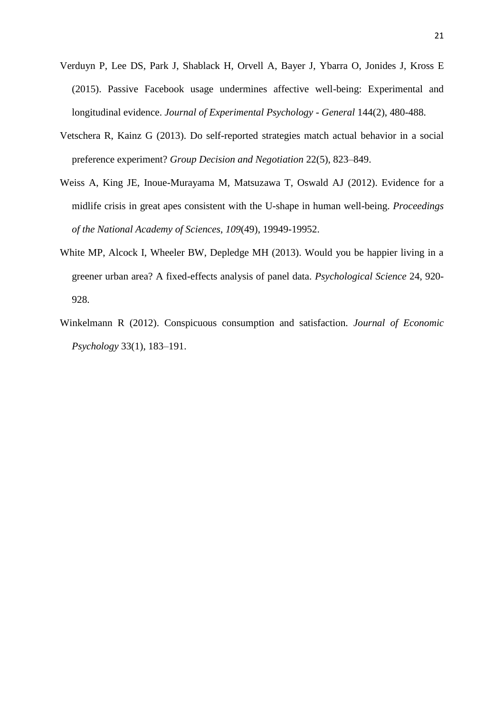- Verduyn P, Lee DS, Park J, Shablack H, Orvell A, Bayer J, Ybarra O, Jonides J, Kross E (2015). Passive Facebook usage undermines affective well-being: Experimental and longitudinal evidence. *Journal of Experimental Psychology - General* 144(2), 480-488.
- Vetschera R, Kainz G (2013). Do self-reported strategies match actual behavior in a social preference experiment? *Group Decision and Negotiation* 22(5), 823–849.
- Weiss A, King JE, Inoue-Murayama M, Matsuzawa T, Oswald AJ (2012). Evidence for a midlife crisis in great apes consistent with the U-shape in human well-being. *Proceedings of the National Academy of Sciences*, *109*(49), 19949-19952.
- White MP, Alcock I, Wheeler BW, Depledge MH (2013). Would you be happier living in a greener urban area? A fixed-effects analysis of panel data. *Psychological Science* 24, 920- 928.
- Winkelmann R (2012). Conspicuous consumption and satisfaction. *Journal of Economic Psychology* 33(1), 183–191.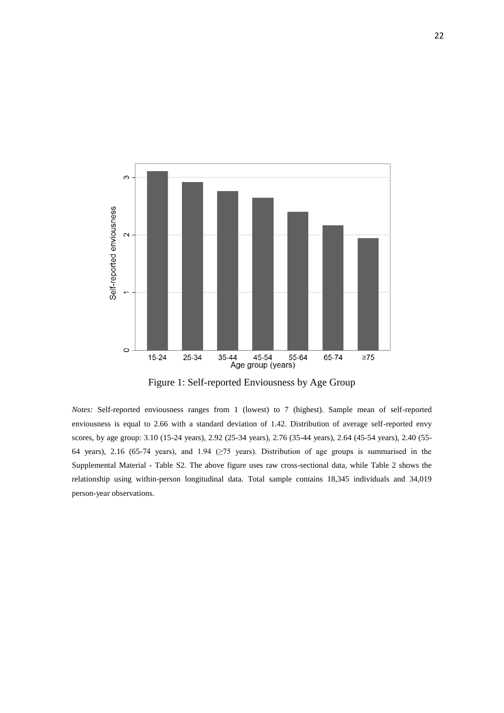

Figure 1: Self-reported Enviousness by Age Group

*Notes:* Self-reported enviousness ranges from 1 (lowest) to 7 (highest). Sample mean of self-reported enviousness is equal to 2.66 with a standard deviation of 1.42. Distribution of average self-reported envy scores, by age group: 3.10 (15-24 years), 2.92 (25-34 years), 2.76 (35-44 years), 2.64 (45-54 years), 2.40 (55- 64 years), 2.16 (65-74 years), and 1.94 (≥75 years). Distribution of age groups is summarised in the Supplemental Material - Table S2. The above figure uses raw cross-sectional data, while Table 2 shows the relationship using within-person longitudinal data. Total sample contains 18,345 individuals and 34,019 person-year observations.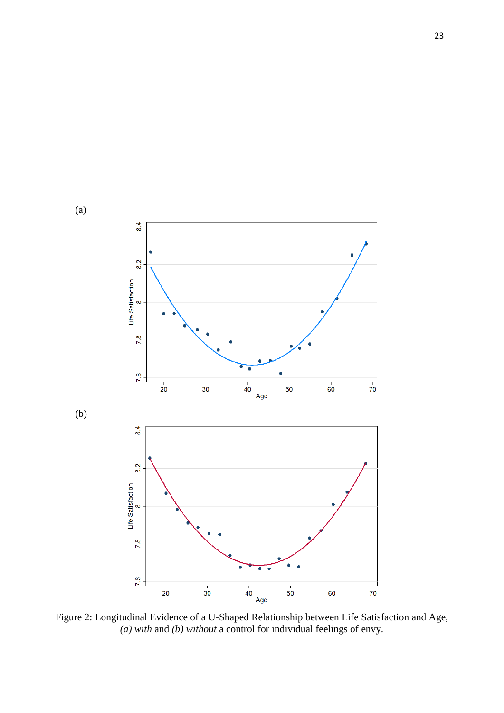

Figure 2: Longitudinal Evidence of a U-Shaped Relationship between Life Satisfaction and Age, *(a) with* and *(b) without* a control for individual feelings of envy.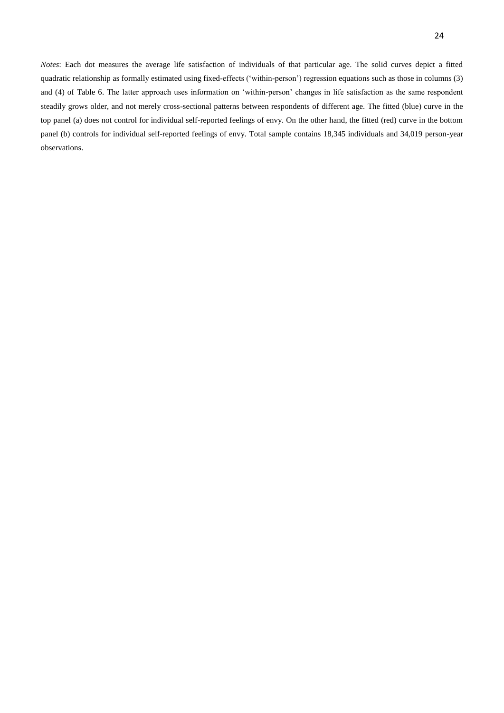24

*Notes*: Each dot measures the average life satisfaction of individuals of that particular age. The solid curves depict a fitted quadratic relationship as formally estimated using fixed-effects ('within-person') regression equations such as those in columns (3) and (4) of Table 6. The latter approach uses information on 'within-person' changes in life satisfaction as the same respondent steadily grows older, and not merely cross-sectional patterns between respondents of different age. The fitted (blue) curve in the top panel (a) does not control for individual self-reported feelings of envy. On the other hand, the fitted (red) curve in the bottom panel (b) controls for individual self-reported feelings of envy. Total sample contains 18,345 individuals and 34,019 person-year observations.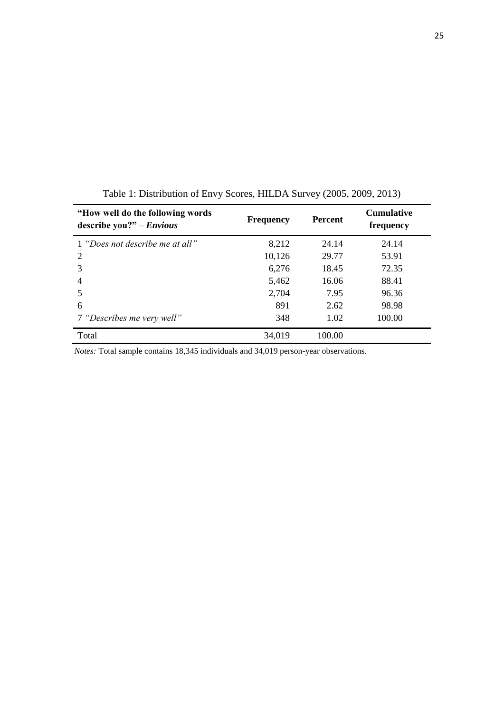| "How well do the following words"<br>describe you?" $- Envious$ | <b>Frequency</b> | <b>Percent</b> | <b>Cumulative</b><br>frequency |
|-----------------------------------------------------------------|------------------|----------------|--------------------------------|
| 1 "Does not describe me at all"                                 | 8,212            | 24.14          | 24.14                          |
| 2                                                               | 10,126           | 29.77          | 53.91                          |
| 3                                                               | 6,276            | 18.45          | 72.35                          |
| $\overline{4}$                                                  | 5,462            | 16.06          | 88.41                          |
| 5                                                               | 2,704            | 7.95           | 96.36                          |
| 6                                                               | 891              | 2.62           | 98.98                          |
| 7 "Describes me very well"                                      | 348              | 1.02           | 100.00                         |
| Total                                                           | 34,019           | 100.00         |                                |

Table 1: Distribution of Envy Scores, HILDA Survey (2005, 2009, 2013)

*Notes:* Total sample contains 18,345 individuals and 34,019 person-year observations.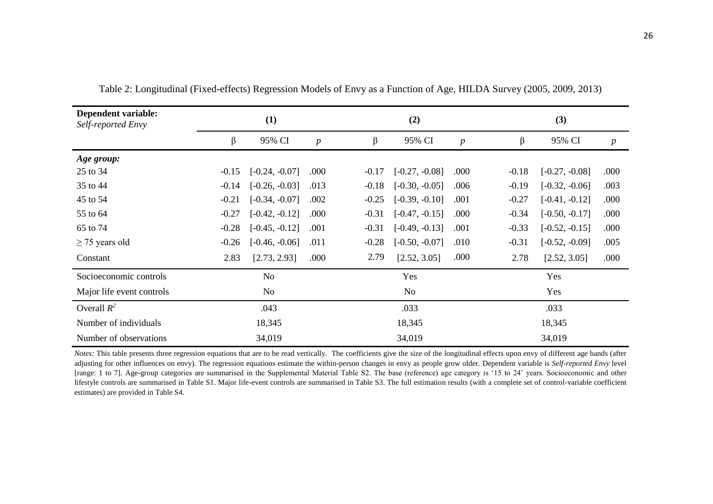| Dependent variable:<br>Self-reported Envy |         | (1)              |                  |         | (2)                                 |                  |         | (3)              |                  |  |  |
|-------------------------------------------|---------|------------------|------------------|---------|-------------------------------------|------------------|---------|------------------|------------------|--|--|
|                                           | β       | 95% CI           | $\boldsymbol{p}$ | β       | 95% CI                              | $\boldsymbol{p}$ | β       | 95% CI           | $\boldsymbol{p}$ |  |  |
| Age group:                                |         |                  |                  |         |                                     |                  |         |                  |                  |  |  |
| 25 to 34                                  | $-0.15$ | $[-0.24, -0.07]$ | .000             | $-0.17$ | $[-0.27, -0.08]$                    | .000             | $-0.18$ | $[-0.27, -0.08]$ | .000             |  |  |
| 35 to 44                                  | $-0.14$ | $[-0.26, -0.03]$ | .013             | $-0.18$ | $[-0.30, -0.05]$                    | .006             | $-0.19$ | $[-0.32, -0.06]$ | .003             |  |  |
| 45 to 54                                  | $-0.21$ | $[-0.34, -0.07]$ | .002             | $-0.25$ | $[-0.39, -0.10]$                    | .001             | $-0.27$ | $[-0.41, -0.12]$ | .000             |  |  |
| 55 to 64                                  | $-0.27$ | $[-0.42, -0.12]$ | .000             |         | $[-0.47, -0.15]$<br>$-0.31$<br>.000 |                  | $-0.34$ | $[-0.50, -0.17]$ | .000             |  |  |
| 65 to 74                                  | $-0.28$ | $[-0.45, -0.12]$ | .001             |         | $[-0.49, -0.13]$                    | .001             | $-0.33$ | $[-0.52, -0.15]$ | .000             |  |  |
| $\geq$ 75 years old                       | $-0.26$ | $[-0.46, -0.06]$ | .011             | $-0.28$ | $[-0.50, -0.07]$<br>.010            |                  | $-0.31$ | $[-0.52, -0.09]$ | .005             |  |  |
| Constant                                  | 2.83    | [2.73, 2.93]     | .000             | 2.79    | [2.52, 3.05]                        | .000             | 2.78    | [2.52, 3.05]     | .000             |  |  |
| Socioeconomic controls                    |         | No               |                  |         | Yes                                 |                  |         | Yes              |                  |  |  |
| Major life event controls                 |         | No               |                  |         | No                                  |                  |         | Yes              |                  |  |  |
| Overall $R^2$                             |         | .043             |                  |         | .033                                |                  |         | .033             |                  |  |  |
| Number of individuals                     |         | 18,345           |                  |         | 18,345                              |                  |         | 18,345           |                  |  |  |
| Number of observations                    |         | 34,019           |                  |         | 34,019                              |                  | 34,019  |                  |                  |  |  |

Table 2: Longitudinal (Fixed-effects) Regression Models of Envy as a Function of Age, HILDA Survey (2005, 2009, 2013)

*Notes:* This table presents three regression equations that are to be read vertically. The coefficients give the size of the longitudinal effects upon envy of different age bands (after adjusting for other influences on envy). The regression equations estimate the within-person changes in envy as people grow older. Dependent variable is *Self-reported Envy* level [range: 1 to 7]. Age-group categories are summarised in the Supplemental Material Table S2. The base (reference) age category is '15 to 24' years. Socioeconomic and other lifestyle controls are summarised in Table S1. Major life-event controls are summarised in Table S3. The full estimation results (with a complete set of control-variable coefficient estimates) are provided in Table S4.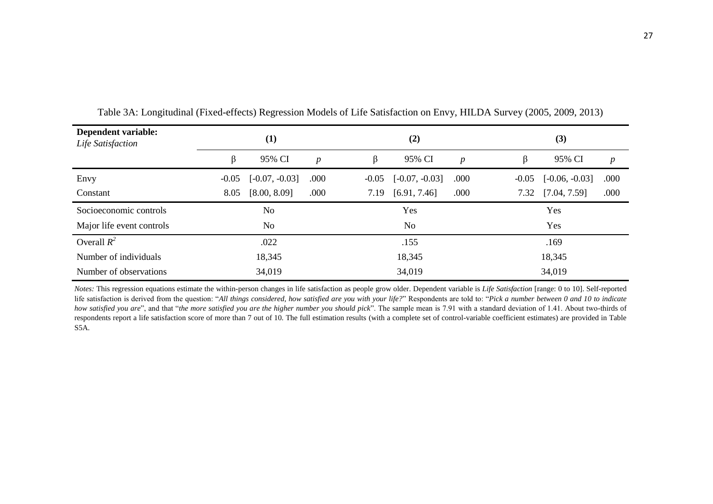| Dependent variable:<br>Life Satisfaction |         | $\bf(1)$         |                  |         | (2)              |                  |         | (3)              |                  |  |  |
|------------------------------------------|---------|------------------|------------------|---------|------------------|------------------|---------|------------------|------------------|--|--|
|                                          | ß       | 95% CI           | $\boldsymbol{p}$ | β       | 95% CI           | $\boldsymbol{p}$ |         | 95% CI           | $\boldsymbol{p}$ |  |  |
| Envy                                     | $-0.05$ | $[-0.07, -0.03]$ | .000             | $-0.05$ | $[-0.07, -0.03]$ | .000             | $-0.05$ | $[-0.06, -0.03]$ | .000             |  |  |
| Constant                                 | 8.05    | [8.00, 8.09]     | .000             | 7.19    | [6.91, 7.46]     | .000             | 7.32    | [7.04, 7.59]     | .000             |  |  |
| Socioeconomic controls                   |         | N <sub>0</sub>   |                  |         | Yes              |                  |         | Yes              |                  |  |  |
| Major life event controls                |         | N <sub>o</sub>   |                  |         | No.              |                  |         | Yes              |                  |  |  |
| Overall $R^2$                            |         | .022             |                  |         | .155             |                  |         | .169             |                  |  |  |
| Number of individuals                    |         | 18,345           |                  |         | 18,345           |                  | 18,345  |                  |                  |  |  |
| Number of observations                   |         | 34,019           |                  |         | 34,019           |                  | 34,019  |                  |                  |  |  |

Table 3A: Longitudinal (Fixed-effects) Regression Models of Life Satisfaction on Envy, HILDA Survey (2005, 2009, 2013)

*Notes:* This regression equations estimate the within-person changes in life satisfaction as people grow older. Dependent variable is *Life Satisfaction* [range: 0 to 10]. Self-reported life satisfaction is derived from the question: "*All things considered, how satisfied are you with your life?*" Respondents are told to: "*Pick a number between 0 and 10 to indicate how satisfied you are*", and that "*the more satisfied you are the higher number you should pick*". The sample mean is 7.91 with a standard deviation of 1.41. About two-thirds of respondents report a life satisfaction score of more than 7 out of 10. The full estimation results (with a complete set of control-variable coefficient estimates) are provided in Table S5A.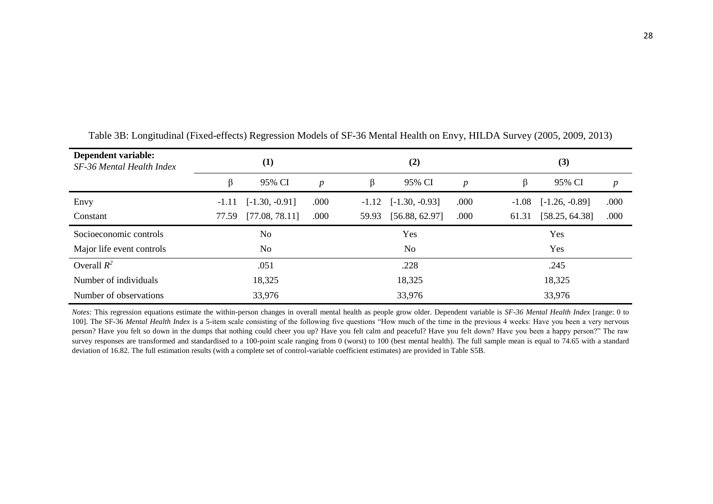| Dependent variable:<br>SF-36 Mental Health Index |         | (1)              |                  |         | (2)              |                  |         | (3)              |                  |  |  |  |
|--------------------------------------------------|---------|------------------|------------------|---------|------------------|------------------|---------|------------------|------------------|--|--|--|
|                                                  |         | 95% CI           | $\boldsymbol{p}$ | β       | 95% CI           | $\boldsymbol{p}$ | β       | 95% CI           | $\boldsymbol{p}$ |  |  |  |
| Envy                                             | $-1.11$ | $[-1.30, -0.91]$ | .000             | $-1.12$ | $[-1.30, -0.93]$ | .000             | $-1.08$ | $[-1.26, -0.89]$ | .000             |  |  |  |
| Constant                                         | 77.59   | [77.08, 78.11]   | .000             | 59.93   | [56.88, 62.97]   | .000             | 61.31   | [58.25, 64.38]   | .000             |  |  |  |
| Socioeconomic controls                           |         | No               |                  |         | Yes              |                  |         | Yes              |                  |  |  |  |
| Major life event controls                        |         | No               |                  |         | N <sub>o</sub>   |                  |         | Yes              |                  |  |  |  |
| Overall $R^2$                                    |         | .051             |                  |         | .228             |                  |         | .245             |                  |  |  |  |
| Number of individuals                            |         | 18,325           |                  |         | 18,325           |                  |         | 18,325           |                  |  |  |  |
| Number of observations                           |         | 33,976           |                  |         | 33,976           |                  | 33,976  |                  |                  |  |  |  |

Table 3B: Longitudinal (Fixed-effects) Regression Models of SF-36 Mental Health on Envy, HILDA Survey (2005, 2009, 2013)

*Notes:* This regression equations estimate the within-person changes in overall mental health as people grow older. Dependent variable is *SF-36 Mental Health Index* [range: 0 to 100]. The SF-36 *Mental Health Index* is a 5-item scale consisting of the following five questions "How much of the time in the previous 4 weeks: Have you been a very nervous person? Have you felt so down in the dumps that nothing could cheer you up? Have you felt calm and peaceful? Have you felt down? Have you been a happy person?" The raw survey responses are transformed and standardised to a 100-point scale ranging from 0 (worst) to 100 (best mental health). The full sample mean is equal to 74.65 with a standard deviation of 16.82. The full estimation results (with a complete set of control-variable coefficient estimates) are provided in Table S5B.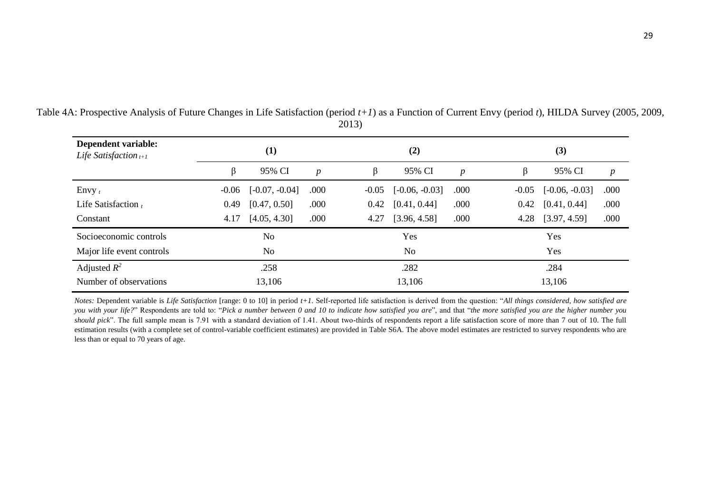| Dependent variable:<br>Life Satisfaction $t+1$ |                | (1)              |                  |         | (2)              |                  |         | (3)              |                  |  |  |
|------------------------------------------------|----------------|------------------|------------------|---------|------------------|------------------|---------|------------------|------------------|--|--|
|                                                | β              | 95% CI           | $\boldsymbol{p}$ | β       | 95% CI           | $\boldsymbol{p}$ | β       | 95% CI           | $\boldsymbol{p}$ |  |  |
| Envy $t$                                       | $-0.06$        | $[-0.07, -0.04]$ | .000             | $-0.05$ | $[-0.06, -0.03]$ | .000             | $-0.05$ | $[-0.06, -0.03]$ | .000             |  |  |
| Life Satisfaction $t$                          | 0.49           | [0.47, 0.50]     | .000             | 0.42    | [0.41, 0.44]     | .000             | 0.42    | [0.41, 0.44]     | .000             |  |  |
| Constant                                       | 4.17           | [4.05, 4.30]     | .000             | 4.27    | [3.96, 4.58]     | .000             | 4.28    | [3.97, 4.59]     | .000             |  |  |
| Socioeconomic controls                         |                | N <sub>o</sub>   |                  |         | Yes              |                  | Yes     |                  |                  |  |  |
| Major life event controls                      | N <sub>o</sub> |                  |                  |         | No.              |                  | Yes     |                  |                  |  |  |
| Adjusted $R^2$                                 | .258           |                  |                  |         | .282             |                  | .284    |                  |                  |  |  |
| Number of observations                         |                | 13,106           |                  |         | 13,106           |                  | 13,106  |                  |                  |  |  |

Table 4A: Prospective Analysis of Future Changes in Life Satisfaction (period *t+1*) as a Function of Current Envy (period *t*), HILDA Survey (2005, 2009, 2013)

*Notes:* Dependent variable is *Life Satisfaction* [range: 0 to 10] in period *t+1*. Self-reported life satisfaction is derived from the question: "*All things considered, how satisfied are you with your life?*" Respondents are told to: "*Pick a number between 0 and 10 to indicate how satisfied you are*", and that "*the more satisfied you are the higher number you should pick*". The full sample mean is 7.91 with a standard deviation of 1.41. About two-thirds of respondents report a life satisfaction score of more than 7 out of 10. The full estimation results (with a complete set of control-variable coefficient estimates) are provided in Table S6A. The above model estimates are restricted to survey respondents who are less than or equal to 70 years of age.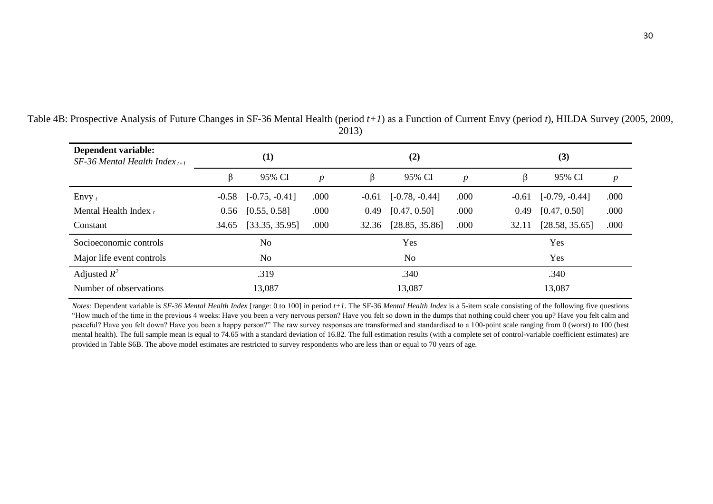| Dependent variable:<br>SF-36 Mental Health Index $_{t+1}$ |         | (1)                          |                  |         | (2)              |                  |                                 | (3)              |                  |  |  |
|-----------------------------------------------------------|---------|------------------------------|------------------|---------|------------------|------------------|---------------------------------|------------------|------------------|--|--|
|                                                           |         | 95% CI                       | $\boldsymbol{p}$ | β       | 95% CI           | $\boldsymbol{p}$ | β                               | 95% CI           | $\boldsymbol{p}$ |  |  |
| Envy $t$                                                  | $-0.58$ | $[-0.75, -0.41]$             | .000             | $-0.61$ | $[-0.78, -0.44]$ | .000             | $-0.61$                         | $[-0.79, -0.44]$ | .000             |  |  |
| Mental Health Index $t$                                   |         | [0.55, 0.58]<br>.000<br>0.56 |                  |         | [0.47, 0.50]     | .000             | .000<br>[0.47, 0.50]<br>0.49    |                  |                  |  |  |
| Constant                                                  | 34.65   | [33.35, 35.95]<br>.000       |                  | 32.36   | [28.85, 35.86]   | .000             | .000<br>[28.58, 35.65]<br>32.11 |                  |                  |  |  |
| Socioeconomic controls                                    |         | N <sub>0</sub>               |                  |         | Yes              |                  | Yes                             |                  |                  |  |  |
| Major life event controls                                 |         | N <sub>0</sub>               |                  |         | N <sub>0</sub>   |                  | Yes                             |                  |                  |  |  |
| Adjusted $R^2$                                            | .319    |                              |                  |         | .340             |                  | .340                            |                  |                  |  |  |
| Number of observations                                    |         | 13,087                       |                  |         | 13,087           |                  | 13,087                          |                  |                  |  |  |

Table 4B: Prospective Analysis of Future Changes in SF-36 Mental Health (period *t+1*) as a Function of Current Envy (period *t*), HILDA Survey (2005, 2009, 2013)

*Notes:* Dependent variable is *SF-36 Mental Health Index* [range: 0 to 100] in period *t+1*. The SF-36 *Mental Health Index* is a 5-item scale consisting of the following five questions "How much of the time in the previous 4 weeks: Have you been a very nervous person? Have you felt so down in the dumps that nothing could cheer you up? Have you felt calm and peaceful? Have you felt down? Have you been a happy person?" The raw survey responses are transformed and standardised to a 100-point scale ranging from 0 (worst) to 100 (best mental health). The full sample mean is equal to 74.65 with a standard deviation of 16.82. The full estimation results (with a complete set of control-variable coefficient estimates) are provided in Table S6B. The above model estimates are restricted to survey respondents who are less than or equal to 70 years of age.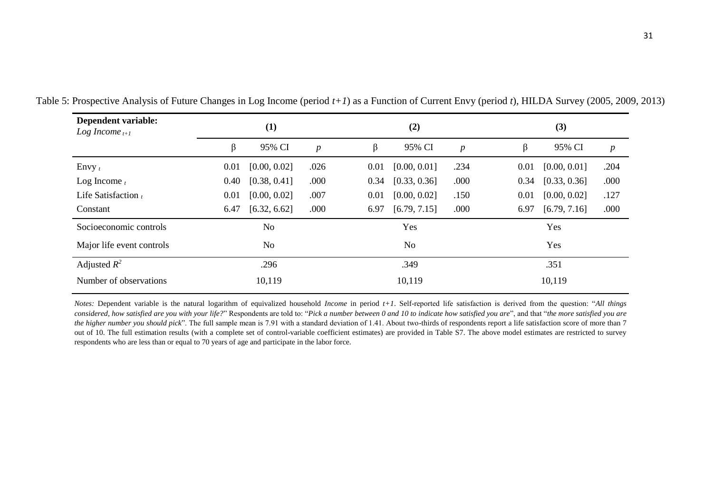| Dependent variable:<br>Log Income $_{t+1}$ |                | (1)            |                  |                | (2)          |                  | (3)    |              |                  |  |
|--------------------------------------------|----------------|----------------|------------------|----------------|--------------|------------------|--------|--------------|------------------|--|
|                                            | β              | 95% CI         | $\boldsymbol{p}$ | ß              | 95% CI       | $\boldsymbol{p}$ | β      | 95% CI       | $\boldsymbol{p}$ |  |
| Envy $t$                                   | 0.01           | [0.00, 0.02]   | .026             | 0.01           | [0.00, 0.01] | .234             | 0.01   | [0.00, 0.01] | .204             |  |
| Log Income $t$                             | 0.40           | [0.38, 0.41]   | .000             | 0.34           | [0.33, 0.36] | .000             | 0.34   | [0.33, 0.36] | .000             |  |
| Life Satisfaction $t$                      | 0.01           | [0.00, 0.02]   | .007             | 0.01           | [0.00, 0.02] | .150             | 0.01   | [0.00, 0.02] | .127             |  |
| Constant                                   | 6.47           | [6.32, 6.62]   | .000             | 6.97           | [6.79, 7.15] | .000             | 6.97   | [6.79, 7.16] | .000             |  |
| Socioeconomic controls                     |                | N <sub>o</sub> |                  |                | Yes          |                  | Yes    |              |                  |  |
| Major life event controls                  | N <sub>o</sub> |                |                  | N <sub>o</sub> |              |                  | Yes    |              |                  |  |
| Adjusted $R^2$                             | .296           |                |                  |                | .349         |                  | .351   |              |                  |  |
| Number of observations                     | 10,119         |                |                  |                | 10,119       |                  | 10,119 |              |                  |  |

Table 5: Prospective Analysis of Future Changes in Log Income (period *t+1*) as a Function of Current Envy (period *t*), HILDA Survey (2005, 2009, 2013)

*Notes:* Dependent variable is the natural logarithm of equivalized household *Income* in period *t+1*. Self-reported life satisfaction is derived from the question: "*All things considered, how satisfied are you with your life?*" Respondents are told to: "*Pick a number between 0 and 10 to indicate how satisfied you are*", and that "*the more satisfied you are the higher number you should pick*". The full sample mean is 7.91 with a standard deviation of 1.41. About two-thirds of respondents report a life satisfaction score of more than 7 out of 10. The full estimation results (with a complete set of control-variable coefficient estimates) are provided in Table S7. The above model estimates are restricted to survey respondents who are less than or equal to 70 years of age and participate in the labor force.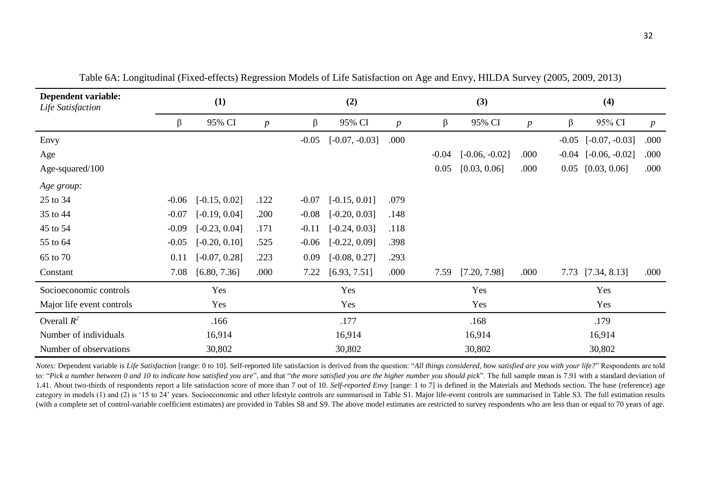| Dependent variable:<br>Life Satisfaction | (1)     |                 |                  |         | (2)              |                  |         | (3)              |                  | (4)     |                  |                  |
|------------------------------------------|---------|-----------------|------------------|---------|------------------|------------------|---------|------------------|------------------|---------|------------------|------------------|
|                                          | β       | 95% CI          | $\boldsymbol{p}$ | β       | 95% CI           | $\boldsymbol{p}$ | β       | 95% CI           | $\boldsymbol{p}$ | β       | 95% CI           | $\boldsymbol{p}$ |
| Envy                                     |         |                 |                  | $-0.05$ | $[-0.07, -0.03]$ | .000             |         |                  |                  | $-0.05$ | $[-0.07, -0.03]$ | .000             |
| Age                                      |         |                 |                  |         |                  |                  | $-0.04$ | $[-0.06, -0.02]$ | .000             | $-0.04$ | $[-0.06, -0.02]$ | .000             |
| Age-squared/100                          |         |                 |                  |         |                  |                  | 0.05    | [0.03, 0.06]     | .000             | 0.05    | [0.03, 0.06]     | .000             |
| Age group:                               |         |                 |                  |         |                  |                  |         |                  |                  |         |                  |                  |
| 25 to 34                                 | $-0.06$ | $[-0.15, 0.02]$ | .122             | $-0.07$ | $[-0.15, 0.01]$  | .079             |         |                  |                  |         |                  |                  |
| 35 to 44                                 | $-0.07$ | $[-0.19, 0.04]$ | .200             | $-0.08$ | $[-0.20, 0.03]$  | .148             |         |                  |                  |         |                  |                  |
| 45 to 54                                 | $-0.09$ | $[-0.23, 0.04]$ | .171             | $-0.11$ | $[-0.24, 0.03]$  | .118             |         |                  |                  |         |                  |                  |
| 55 to 64                                 | $-0.05$ | $[-0.20, 0.10]$ | .525             | $-0.06$ | $[-0.22, 0.09]$  | .398             |         |                  |                  |         |                  |                  |
| 65 to 70                                 | 0.11    | $[-0.07, 0.28]$ | .223             | 0.09    | $[-0.08, 0.27]$  | .293             |         |                  |                  |         |                  |                  |
| Constant                                 | 7.08    | [6.80, 7.36]    | .000             | 7.22    | [6.93, 7.51]     | .000             | 7.59    | [7.20, 7.98]     | .000             | 7.73    | [7.34, 8.13]     | .000             |
| Socioeconomic controls                   |         | Yes             |                  |         | Yes              |                  |         | Yes              |                  |         | Yes              |                  |
| Major life event controls                |         | Yes             |                  |         | Yes              |                  |         | Yes              |                  |         | Yes              |                  |
| Overall $R^2$                            |         | .166            |                  |         | .177             |                  |         | .168             |                  |         | .179             |                  |
| Number of individuals                    |         | 16,914          |                  |         | 16,914           |                  |         | 16,914           |                  |         | 16,914           |                  |
| Number of observations                   |         | 30,802          |                  |         | 30,802           |                  |         | 30,802           |                  |         | 30,802           |                  |

Table 6A: Longitudinal (Fixed-effects) Regression Models of Life Satisfaction on Age and Envy, HILDA Survey (2005, 2009, 2013)

Notes: Dependent variable is Life Satisfaction [range: 0 to 10]. Self-reported life satisfaction is derived from the question: "All things considered, how satisfied are you with your life?" Respondents are told to: "*Pick a number between 0 and 10 to indicate how satisfied you are*", and that "*the more satisfied you are the higher number you should pick*". The full sample mean is 7.91 with a standard deviation of 1.41. About two-thirds of respondents report a life satisfaction score of more than 7 out of 10. *Self-reported Envy* [range: 1 to 7] is defined in the Materials and Methods section. The base (reference) age category in models (1) and (2) is '15 to 24' years. Socioeconomic and other lifestyle controls are summarised in Table S1. Major life-event controls are summarised in Table S3. The full estimation results (with a complete set of control-variable coefficient estimates) are provided in Tables S8 and S9. The above model estimates are restricted to survey respondents who are less than or equal to 70 years of age.